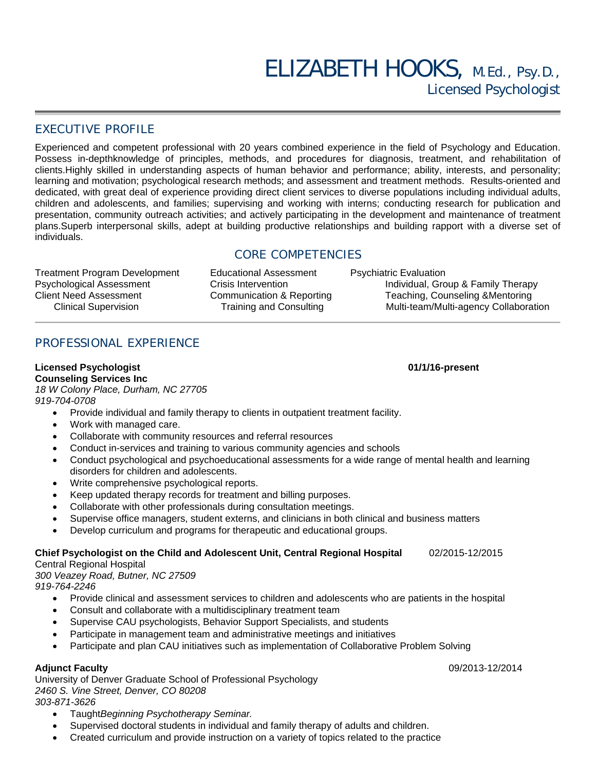## EXECUTIVE PROFILE

Experienced and competent professional with 20 years combined experience in the field of Psychology and Education. Possess in-depthknowledge of principles, methods, and procedures for diagnosis, treatment, and rehabilitation of clients.Highly skilled in understanding aspects of human behavior and performance; ability, interests, and personality; learning and motivation; psychological research methods; and assessment and treatment methods. Results-oriented and dedicated, with great deal of experience providing direct client services to diverse populations including individual adults, children and adolescents, and families; supervising and working with interns; conducting research for publication and presentation, community outreach activities; and actively participating in the development and maintenance of treatment plans.Superb interpersonal skills, adept at building productive relationships and building rapport with a diverse set of individuals.

## CORE COMPETENCIES

Treatment Program Development Educational Assessment Psychiatric Evaluation<br>Psychological Assessment Crisis Intervention Psychological Assessment

Individual, Group & Family Therapy Client Need Assessment Communication & Reporting Teaching, Counseling &Mentoring Clinical Supervision Training and Consulting Multi-team/Multi-agency Collaboration

# PROFESSIONAL EXPERIENCE

**Licensed Psychologist 01/1/16-present Counseling Services Inc**  *18 W Colony Place, Durham, NC 27705 919-704-0708* 

- Provide individual and family therapy to clients in outpatient treatment facility.
- Work with managed care.
- Collaborate with community resources and referral resources
- Conduct in-services and training to various community agencies and schools
- Conduct psychological and psychoeducational assessments for a wide range of mental health and learning disorders for children and adolescents.
- Write comprehensive psychological reports.
- Keep updated therapy records for treatment and billing purposes.
- Collaborate with other professionals during consultation meetings.
- Supervise office managers, student externs, and clinicians in both clinical and business matters
- Develop curriculum and programs for therapeutic and educational groups.

#### **Chief Psychologist on the Child and Adolescent Unit, Central Regional Hospital** 02/2015-12/2015

#### Central Regional Hospital

*300 Veazey Road, Butner, NC 27509* 

*919-764-2246* 

- Provide clinical and assessment services to children and adolescents who are patients in the hospital
- Consult and collaborate with a multidisciplinary treatment team
- Supervise CAU psychologists, Behavior Support Specialists, and students
- Participate in management team and administrative meetings and initiatives
- Participate and plan CAU initiatives such as implementation of Collaborative Problem Solving

#### **Adjunct Faculty** 09/2013-12/2014

University of Denver Graduate School of Professional Psychology *2460 S. Vine Street, Denver, CO 80208 303-871-3626* 

- Taught*Beginning Psychotherapy Seminar.*
- Supervised doctoral students in individual and family therapy of adults and children.
- Created curriculum and provide instruction on a variety of topics related to the practice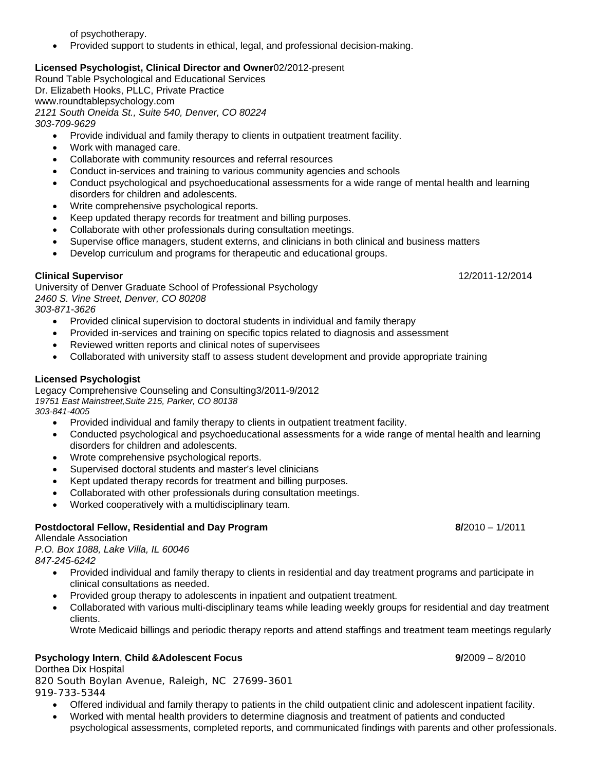of psychotherapy.

Provided support to students in ethical, legal, and professional decision-making.

#### **Licensed Psychologist, Clinical Director and Owner**02/2012-present

Round Table Psychological and Educational Services Dr. Elizabeth Hooks, PLLC, Private Practice www.roundtablepsychology.com *2121 South Oneida St., Suite 540, Denver, CO 80224 303-709-9629* 

- Provide individual and family therapy to clients in outpatient treatment facility.
- Work with managed care.
- Collaborate with community resources and referral resources
- Conduct in-services and training to various community agencies and schools
- Conduct psychological and psychoeducational assessments for a wide range of mental health and learning disorders for children and adolescents.
- Write comprehensive psychological reports.
- Keep updated therapy records for treatment and billing purposes.
- Collaborate with other professionals during consultation meetings.
- Supervise office managers, student externs, and clinicians in both clinical and business matters
- Develop curriculum and programs for therapeutic and educational groups.

#### **Clinical Supervisor** 12/2011-12/2014

University of Denver Graduate School of Professional Psychology *2460 S. Vine Street, Denver, CO 80208* 

*303-871-3626* 

- Provided clinical supervision to doctoral students in individual and family therapy
- Provided in-services and training on specific topics related to diagnosis and assessment
- Reviewed written reports and clinical notes of supervisees
- Collaborated with university staff to assess student development and provide appropriate training

#### **Licensed Psychologist**

Legacy Comprehensive Counseling and Consulting3/2011-9/2012 *19751 East Mainstreet,Suite 215, Parker, CO 80138 303-841-4005*

- Provided individual and family therapy to clients in outpatient treatment facility.
- Conducted psychological and psychoeducational assessments for a wide range of mental health and learning disorders for children and adolescents.
- Wrote comprehensive psychological reports.
- Supervised doctoral students and master's level clinicians
- Kept updated therapy records for treatment and billing purposes.
- Collaborated with other professionals during consultation meetings.
- Worked cooperatively with a multidisciplinary team.

#### **Postdoctoral Fellow, Residential and Day Program 8/2010 – 1/2011 1/2011**

Allendale Association

*P.O. Box 1088, Lake Villa, IL 60046 847-245-6242* 

- Provided individual and family therapy to clients in residential and day treatment programs and participate in clinical consultations as needed.
- Provided group therapy to adolescents in inpatient and outpatient treatment.
- Collaborated with various multi-disciplinary teams while leading weekly groups for residential and day treatment clients.
	- Wrote Medicaid billings and periodic therapy reports and attend staffings and treatment team meetings regularly

#### **Psychology Intern**, **Child &Adolescent Focus 9/**2009 – 8/2010

Dorthea Dix Hospital

*820 South Boylan Avenue, Raleigh, NC 27699-3601 919-733-5344*

- Offered individual and family therapy to patients in the child outpatient clinic and adolescent inpatient facility.
- Worked with mental health providers to determine diagnosis and treatment of patients and conducted

psychological assessments, completed reports, and communicated findings with parents and other professionals.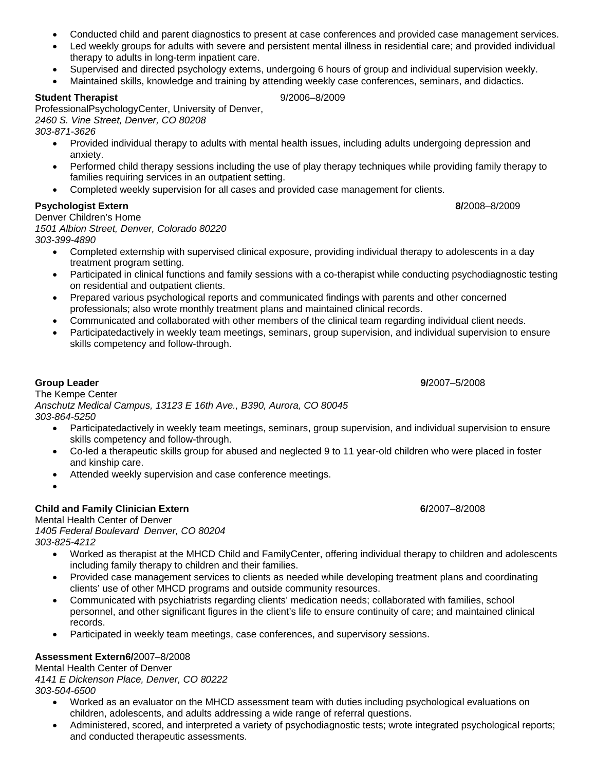- Conducted child and parent diagnostics to present at case conferences and provided case management services.
- Led weekly groups for adults with severe and persistent mental illness in residential care; and provided individual therapy to adults in long-term inpatient care.
- Supervised and directed psychology externs, undergoing 6 hours of group and individual supervision weekly.
- Maintained skills, knowledge and training by attending weekly case conferences, seminars, and didactics.

#### **Student Therapist** 9/2006–8/2009

ProfessionalPsychologyCenter, University of Denver, *2460 S. Vine Street, Denver, CO 80208 303-871-3626* 

- Provided individual therapy to adults with mental health issues, including adults undergoing depression and anxiety.
- Performed child therapy sessions including the use of play therapy techniques while providing family therapy to families requiring services in an outpatient setting.
- Completed weekly supervision for all cases and provided case management for clients.

#### **Psychologist Extern 8/**2008–8/2009

Denver Children's Home

*1501 Albion Street, Denver, Colorado 80220 303-399-4890* 

- Completed externship with supervised clinical exposure, providing individual therapy to adolescents in a day treatment program setting.
- Participated in clinical functions and family sessions with a co-therapist while conducting psychodiagnostic testing on residential and outpatient clients.
- Prepared various psychological reports and communicated findings with parents and other concerned professionals; also wrote monthly treatment plans and maintained clinical records.
- Communicated and collaborated with other members of the clinical team regarding individual client needs.
- Participatedactively in weekly team meetings, seminars, group supervision, and individual supervision to ensure skills competency and follow-through.

**Group Leader 9/**2007–5/2008 The Kempe Center *Anschutz Medical Campus, 13123 E 16th Ave., B390, Aurora, CO 80045 303-864-5250* 

- Participatedactively in weekly team meetings, seminars, group supervision, and individual supervision to ensure skills competency and follow-through.
- Co-led a therapeutic skills group for abused and neglected 9 to 11 year-old children who were placed in foster and kinship care.
- Attended weekly supervision and case conference meetings.
- $\bullet$

## **Child and Family Clinician Extern 6/**2007–8/2008

Mental Health Center of Denver *1405 Federal Boulevard Denver, CO 80204 303-825-4212* 

- Worked as therapist at the MHCD Child and FamilyCenter, offering individual therapy to children and adolescents including family therapy to children and their families.
- Provided case management services to clients as needed while developing treatment plans and coordinating clients' use of other MHCD programs and outside community resources.
- Communicated with psychiatrists regarding clients' medication needs; collaborated with families, school personnel, and other significant figures in the client's life to ensure continuity of care; and maintained clinical records.
- Participated in weekly team meetings, case conferences, and supervisory sessions.

#### **Assessment Extern6/**2007–8/2008

Mental Health Center of Denver *4141 E Dickenson Place, Denver, CO 80222 303-504-6500* 

- Worked as an evaluator on the MHCD assessment team with duties including psychological evaluations on children, adolescents, and adults addressing a wide range of referral questions.
- Administered, scored, and interpreted a variety of psychodiagnostic tests; wrote integrated psychological reports; and conducted therapeutic assessments.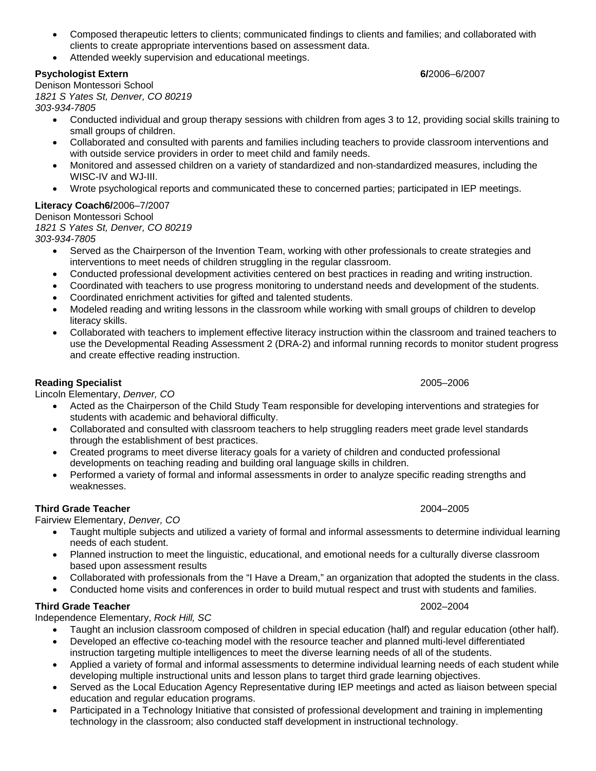- Composed therapeutic letters to clients; communicated findings to clients and families; and collaborated with clients to create appropriate interventions based on assessment data.
- Attended weekly supervision and educational meetings.

#### **Psychologist Extern 6/**2006–6/2007

Denison Montessori School *1821 S Yates St, Denver, CO 80219 303-934-7805* 

- Conducted individual and group therapy sessions with children from ages 3 to 12, providing social skills training to small groups of children.
- Collaborated and consulted with parents and families including teachers to provide classroom interventions and with outside service providers in order to meet child and family needs.
- Monitored and assessed children on a variety of standardized and non-standardized measures, including the WISC-IV and WJ-III.
- Wrote psychological reports and communicated these to concerned parties; participated in IEP meetings.

## **Literacy Coach6/**2006–7/2007

Denison Montessori School

*1821 S Yates St, Denver, CO 80219* 

*303-934-7805* 

- Served as the Chairperson of the Invention Team, working with other professionals to create strategies and interventions to meet needs of children struggling in the regular classroom.
- Conducted professional development activities centered on best practices in reading and writing instruction.
- Coordinated with teachers to use progress monitoring to understand needs and development of the students.
- Coordinated enrichment activities for gifted and talented students.
- Modeled reading and writing lessons in the classroom while working with small groups of children to develop literacy skills.
- Collaborated with teachers to implement effective literacy instruction within the classroom and trained teachers to use the Developmental Reading Assessment 2 (DRA-2) and informal running records to monitor student progress and create effective reading instruction.

## **Reading Specialist** 2005–2006

Lincoln Elementary, *Denver, CO* 

- Acted as the Chairperson of the Child Study Team responsible for developing interventions and strategies for students with academic and behavioral difficulty.
- Collaborated and consulted with classroom teachers to help struggling readers meet grade level standards through the establishment of best practices.
- Created programs to meet diverse literacy goals for a variety of children and conducted professional developments on teaching reading and building oral language skills in children.
- Performed a variety of formal and informal assessments in order to analyze specific reading strengths and weaknesses.

## **Third Grade Teacher** 2004–2005

Fairview Elementary, *Denver, CO* 

- Taught multiple subjects and utilized a variety of formal and informal assessments to determine individual learning needs of each student.
- Planned instruction to meet the linguistic, educational, and emotional needs for a culturally diverse classroom based upon assessment results
- Collaborated with professionals from the "I Have a Dream," an organization that adopted the students in the class.
- Conducted home visits and conferences in order to build mutual respect and trust with students and families.

## **Third Grade Teacher** 2002–2004

Independence Elementary, *Rock Hill, SC*

- Taught an inclusion classroom composed of children in special education (half) and regular education (other half).
- Developed an effective co-teaching model with the resource teacher and planned multi-level differentiated instruction targeting multiple intelligences to meet the diverse learning needs of all of the students.
- Applied a variety of formal and informal assessments to determine individual learning needs of each student while developing multiple instructional units and lesson plans to target third grade learning objectives.
- Served as the Local Education Agency Representative during IEP meetings and acted as liaison between special education and regular education programs.
- Participated in a Technology Initiative that consisted of professional development and training in implementing technology in the classroom; also conducted staff development in instructional technology.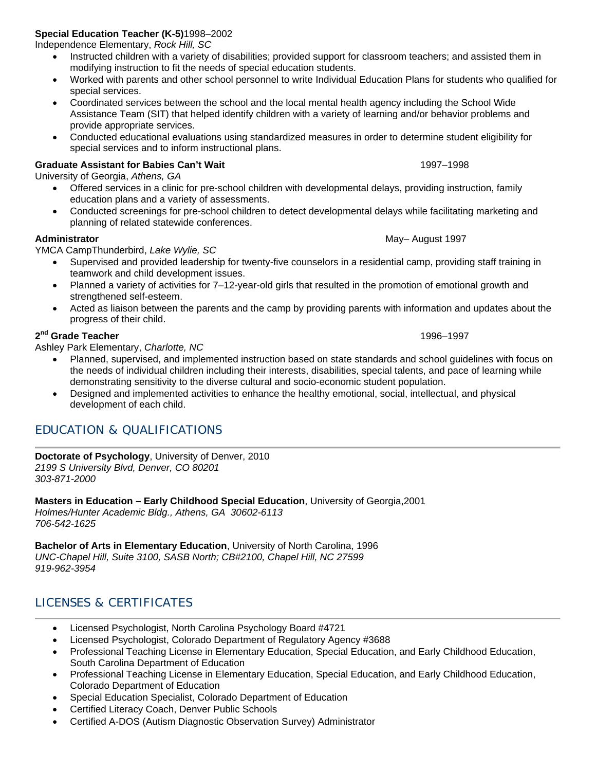# **Special Education Teacher (K-5)**1998–2002

Independence Elementary, *Rock Hill, SC*

- Instructed children with a variety of disabilities; provided support for classroom teachers; and assisted them in modifying instruction to fit the needs of special education students.
- Worked with parents and other school personnel to write Individual Education Plans for students who qualified for special services.
- Coordinated services between the school and the local mental health agency including the School Wide Assistance Team (SIT) that helped identify children with a variety of learning and/or behavior problems and provide appropriate services.
- Conducted educational evaluations using standardized measures in order to determine student eligibility for special services and to inform instructional plans.

## **Graduate Assistant for Babies Can't Wait** 1997–1998

University of Georgia, *Athens, GA* 

- Offered services in a clinic for pre-school children with developmental delays, providing instruction, family education plans and a variety of assessments.
- Conducted screenings for pre-school children to detect developmental delays while facilitating marketing and planning of related statewide conferences.

#### **Administrator 1997**

YMCA CampThunderbird, *Lake Wylie, SC*

- Supervised and provided leadership for twenty-five counselors in a residential camp, providing staff training in teamwork and child development issues.
- Planned a variety of activities for 7–12-year-old girls that resulted in the promotion of emotional growth and strengthened self-esteem.
- Acted as liaison between the parents and the camp by providing parents with information and updates about the progress of their child.

#### **2nd Grade Teacher** 1996–1997

Ashley Park Elementary, *Charlotte, NC*

- Planned, supervised, and implemented instruction based on state standards and school guidelines with focus on the needs of individual children including their interests, disabilities, special talents, and pace of learning while demonstrating sensitivity to the diverse cultural and socio-economic student population.
- Designed and implemented activities to enhance the healthy emotional, social, intellectual, and physical development of each child.

# EDUCATION & QUALIFICATIONS

**Doctorate of Psychology**, University of Denver, 2010 *2199 S University Blvd, Denver, CO 80201 303-871-2000* 

**Masters in Education – Early Childhood Special Education**, University of Georgia,2001 *Holmes/Hunter Academic Bldg., Athens, GA 30602-6113 706-542-1625* 

**Bachelor of Arts in Elementary Education**, University of North Carolina, 1996 *UNC-Chapel Hill, Suite 3100, SASB North; CB#2100, Chapel Hill, NC 27599 919-962-3954* 

# LICENSES & CERTIFICATES

- Licensed Psychologist, North Carolina Psychology Board #4721
- Licensed Psychologist, Colorado Department of Regulatory Agency #3688
- Professional Teaching License in Elementary Education, Special Education, and Early Childhood Education, South Carolina Department of Education
- Professional Teaching License in Elementary Education, Special Education, and Early Childhood Education, Colorado Department of Education
- Special Education Specialist, Colorado Department of Education
- Certified Literacy Coach, Denver Public Schools
- Certified A-DOS (Autism Diagnostic Observation Survey) Administrator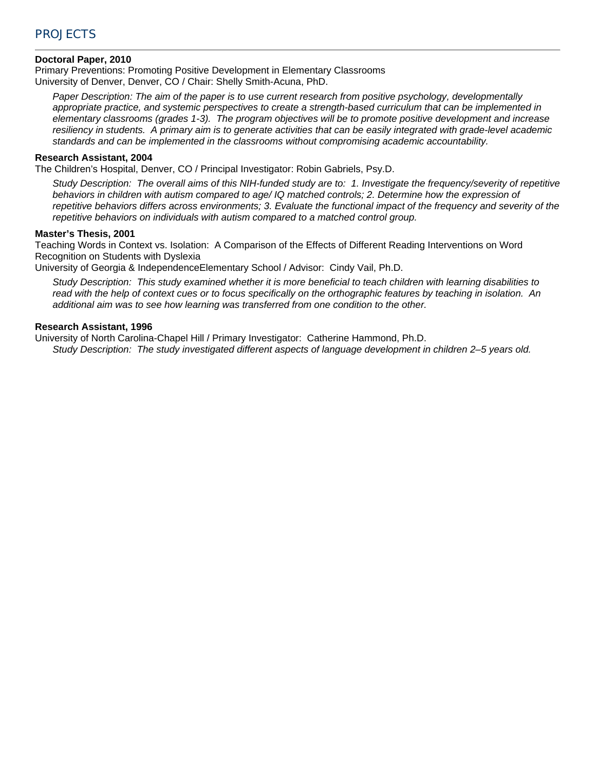# PROJECTS

#### **Doctoral Paper, 2010**

Primary Preventions: Promoting Positive Development in Elementary Classrooms University of Denver, Denver, CO / Chair: Shelly Smith-Acuna, PhD.

*Paper Description: The aim of the paper is to use current research from positive psychology, developmentally appropriate practice, and systemic perspectives to create a strength-based curriculum that can be implemented in elementary classrooms (grades 1-3). The program objectives will be to promote positive development and increase resiliency in students. A primary aim is to generate activities that can be easily integrated with grade-level academic standards and can be implemented in the classrooms without compromising academic accountability.* 

#### **Research Assistant, 2004**

The Children's Hospital, Denver, CO / Principal Investigator: Robin Gabriels, Psy.D.

*Study Description: The overall aims of this NIH-funded study are to: 1. Investigate the frequency/severity of repetitive behaviors in children with autism compared to age/ IQ matched controls; 2. Determine how the expression of repetitive behaviors differs across environments; 3. Evaluate the functional impact of the frequency and severity of the repetitive behaviors on individuals with autism compared to a matched control group.* 

#### **Master's Thesis, 2001**

Teaching Words in Context vs. Isolation: A Comparison of the Effects of Different Reading Interventions on Word Recognition on Students with Dyslexia

University of Georgia & IndependenceElementary School / Advisor: Cindy Vail, Ph.D.

*Study Description: This study examined whether it is more beneficial to teach children with learning disabilities to read with the help of context cues or to focus specifically on the orthographic features by teaching in isolation. An additional aim was to see how learning was transferred from one condition to the other.* 

#### **Research Assistant, 1996**

University of North Carolina-Chapel Hill / Primary Investigator: Catherine Hammond, Ph.D.

*Study Description: The study investigated different aspects of language development in children 2–5 years old.*